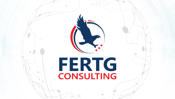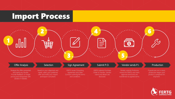### Import Process



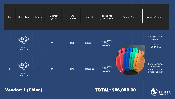

#### Vendor: 1 (China) TOTAL: \$66,000.00

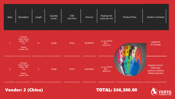

### Vendor: 2 (China) TOTAL: \$66,300.00

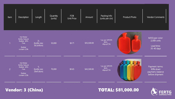

### Vendor: 3 (China) TOTAL: \$81,000.00

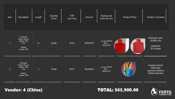

### Vendor: 4 (China) TOTAL: \$65,900.00

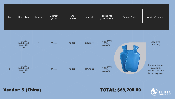



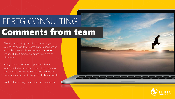## Comments from team FERTG CONSULTING

Thank you for the opportunity to quote on your companies behalf. Please note that all pricing shown is the real cost offered by vendor(s) and DOES NOT include FERTG Commission, duties, and customs clearance.

Kindly note the INCOTERMS presented by each vendor and what each offer entails. If you have any questions, please contact your import and export consultant and we will be happy to clarify any doubts.

We look forward to your feedback and comments!

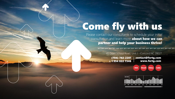# Come fly with us

**COMMANDATION** 

Please contact our consultants to schedule your initial consultation and learn more **about how we can** partner and help your business thrive!

#### 45 Odell School Road, Unit J - Concord NC 28027

contact@fertg.com www.fertg.com (704) 782-2201 + 1 954 822 7346

USA Brazil China India